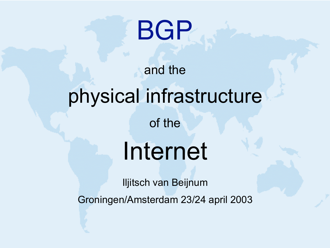# **BGP**

#### and the

#### physical infrastructure

#### of the

# Internet

Iljitsch van Beijnum

Groningen/Amsterdam 23/24 april 2003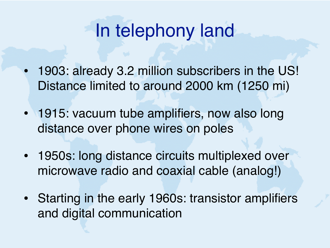#### In telephony land

- 1903: already 3.2 million subscribers in the US! Distance limited to around 2000 km (1250 mi)
- 1915: vacuum tube amplifiers, now also long distance over phone wires on poles
- 1950s: long distance circuits multiplexed over microwave radio and coaxial cable (analog!)
- Starting in the early 1960s: transistor amplifiers and digital communication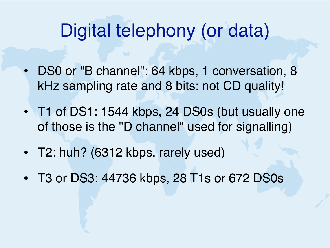#### Digital telephony (or data)

- DS0 or "B channel": 64 kbps, 1 conversation, 8 kHz sampling rate and 8 bits: not CD quality!
- T1 of DS1: 1544 kbps, 24 DS0s (but usually one of those is the "D channel" used for signalling)
- T2: huh? (6312 kbps, rarely used)
- T3 or DS3: 44736 kbps, 28 T1s or 672 DS0s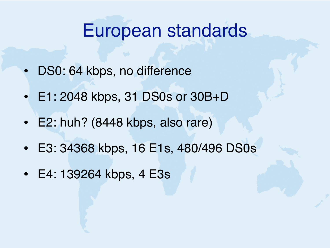#### European standards

- DS0: 64 kbps, no difference
- E1: 2048 kbps, 31 DS0s or 30B+D
- E2: huh? (8448 kbps, also rare)
- E3: 34368 kbps, 16 E1s, 480/496 DS0s
- E4: 139264 kbps, 4 E3s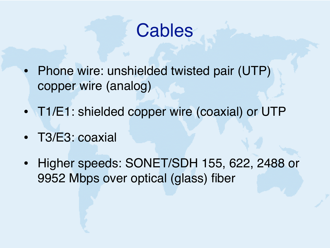

- Phone wire: unshielded twisted pair (UTP) copper wire (analog)
- T1/E1: shielded copper wire (coaxial) or UTP
- T3/E3: coaxial
- Higher speeds: SONET/SDH 155, 622, 2488 or 9952 Mbps over optical (glass) fiber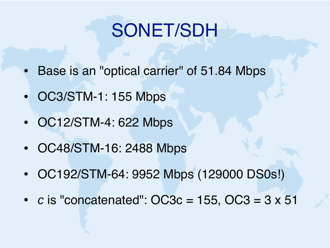## SONET/SDH

- Base is an "optical carrier" of 51.84 Mbps
- OC3/STM-1: 155 Mbps
- OC12/STM-4: 622 Mbps
- OC48/STM-16: 2488 Mbps
- OC192/STM-64: 9952 Mbps (129000 DS0s!)
- $c$  is "concatenated":  $OC3c = 155$ ,  $OC3 = 3 \times 51$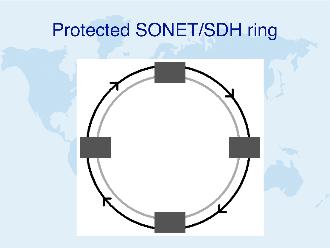## Protected SONET/SDH ring

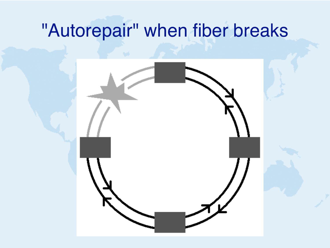#### "Autorepair" when fiber breaks

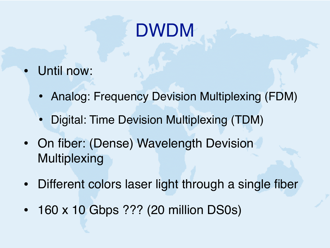# DWDM

- Until now:
	- Analog: Frequency Devision Multiplexing (FDM)
	- Digital: Time Devision Multiplexing (TDM)
- On fiber: (Dense) Wavelength Devision Multiplexing
- Different colors laser light through a single fiber
- 160 x 10 Gbps ??? (20 million DS0s)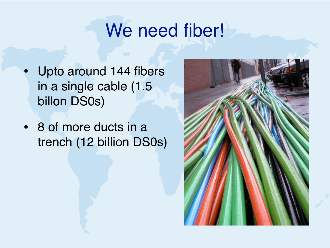#### We need fiber!

- Upto around 144 fibers in a single cable (1.5 billon DS0s)
- 8 of more ducts in a trench (12 billion DS0s)

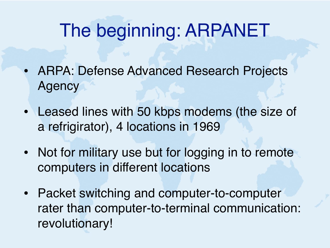#### The beginning: ARPANET

- ARPA: Defense Advanced Research Projects Agency
- Leased lines with 50 kbps modems (the size of a refrigirator), 4 locations in 1969
- Not for military use but for logging in to remote computers in different locations
- Packet switching and computer-to-computer rater than computer-to-terminal communication: revolutionary!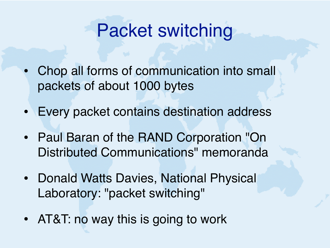#### Packet switching

- Chop all forms of communication into small packets of about 1000 bytes
- Every packet contains destination address
- Paul Baran of the RAND Corporation "On Distributed Communications" memoranda
- Donald Watts Davies, National Physical Laboratory: "packet switching"
- AT&T: no way this is going to work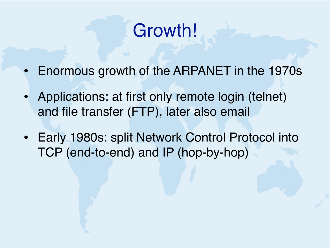#### Growth!

- Enormous growth of the ARPANET in the 1970s
- Applications: at first only remote login (telnet) and file transfer (FTP), later also email
- Early 1980s: split Network Control Protocol into TCP (end-to-end) and IP (hop-by-hop)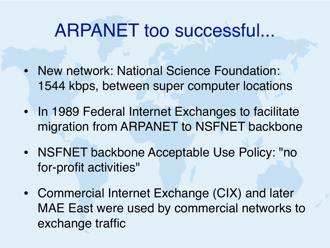#### ARPANET too successful...

- New network: National Science Foundation: 1544 kbps, between super computer locations
- In 1989 Federal Internet Exchanges to facilitate migration from ARPANET to NSFNET backbone
- NSFNET backbone Acceptable Use Policy: "no for-profit activities"
- Commercial Internet Exchange (CIX) and later MAE East were used by commercial networks to exchange traffic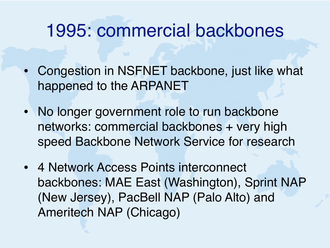#### 1995: commercial backbones

- Congestion in NSFNET backbone, just like what happened to the ARPANET
- No longer government role to run backbone networks: commercial backbones + very high speed Backbone Network Service for research
- 4 Network Access Points interconnect backbones: MAE East (Washington), Sprint NAP (New Jersey), PacBell NAP (Palo Alto) and Ameritech NAP (Chicago)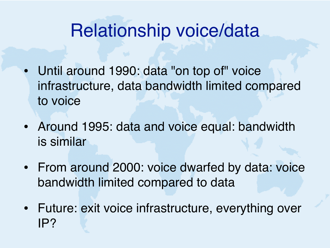#### Relationship voice/data

- Until around 1990: data "on top of" voice infrastructure, data bandwidth limited compared to voice
- Around 1995: data and voice equal: bandwidth is similar
- From around 2000: voice dwarfed by data: voice bandwidth limited compared to data
- Future: exit voice infrastructure, everything over IP?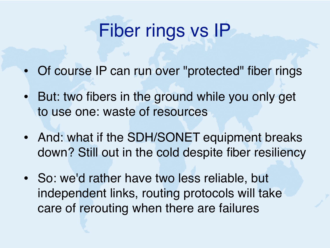## Fiber rings vs IP

- Of course IP can run over "protected" fiber rings
- But: two fibers in the ground while you only get to use one: waste of resources
- And: what if the SDH/SONET equipment breaks down? Still out in the cold despite fiber resiliency
- So: we'd rather have two less reliable, but independent links, routing protocols will take care of rerouting when there are failures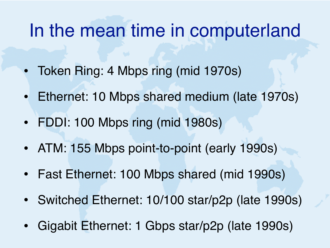#### In the mean time in computerland

- Token Ring: 4 Mbps ring (mid 1970s)
- Ethernet: 10 Mbps shared medium (late 1970s)
- FDDI: 100 Mbps ring (mid 1980s)
- ATM: 155 Mbps point-to-point (early 1990s)
- Fast Ethernet: 100 Mbps shared (mid 1990s)
- Switched Ethernet: 10/100 star/p2p (late 1990s)
- Gigabit Ethernet: 1 Gbps star/p2p (late 1990s)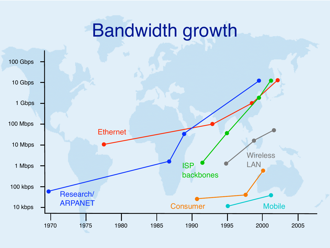#### Bandwidth growth

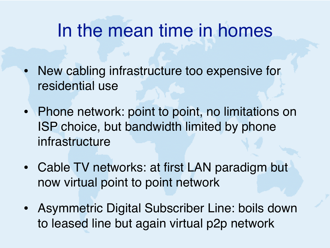#### In the mean time in homes

- New cabling infrastructure too expensive for residential use
- Phone network: point to point, no limitations on ISP choice, but bandwidth limited by phone infrastructure
- Cable TV networks: at first LAN paradigm but now virtual point to point network
- Asymmetric Digital Subscriber Line: boils down to leased line but again virtual p2p network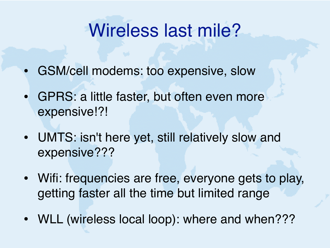#### Wireless last mile?

- GSM/cell modems: too expensive, slow
- GPRS: a little faster, but often even more expensive!?!
- UMTS: isn't here yet, still relatively slow and expensive???
- Wifi: frequencies are free, everyone gets to play, getting faster all the time but limited range
- WLL (wireless local loop): where and when???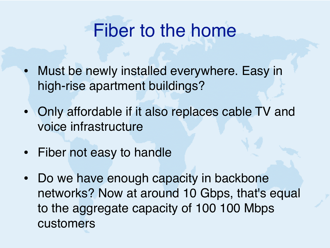#### Fiber to the home

- Must be newly installed everywhere. Easy in high-rise apartment buildings?
- Only affordable if it also replaces cable TV and voice infrastructure
- Fiber not easy to handle
- Do we have enough capacity in backbone networks? Now at around 10 Gbps, that's equal to the aggregate capacity of 100 100 Mbps customers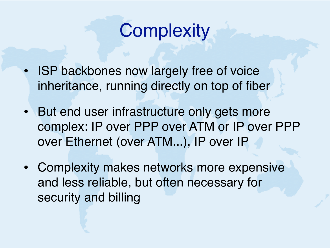

- **ISP backbones now largely free of voice** inheritance, running directly on top of fiber
- But end user infrastructure only gets more complex: IP over PPP over ATM or IP over PPP over Ethernet (over ATM...), IP over IP
- Complexity makes networks more expensive and less reliable, but often necessary for security and billing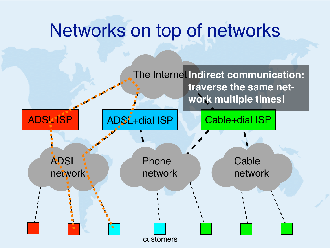#### Networks on top of networks

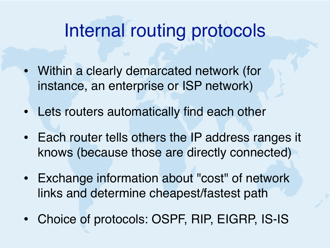#### Internal routing protocols

- Within a clearly demarcated network (for instance, an enterprise or ISP network)
- Lets routers automatically find each other
- Each router tells others the IP address ranges it knows (because those are directly connected)
- Exchange information about "cost" of network links and determine cheapest/fastest path
- Choice of protocols: OSPF, RIP, EIGRP, IS-IS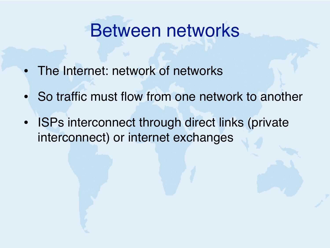#### Between networks

- The Internet: network of networks
- So traffic must flow from one network to another
- ISPs interconnect through direct links (private interconnect) or internet exchanges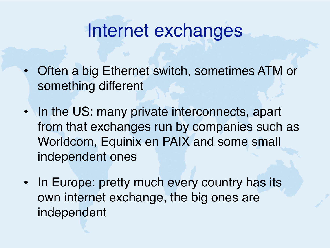#### Internet exchanges

- Often a big Ethernet switch, sometimes ATM or something different
- In the US: many private interconnects, apart from that exchanges run by companies such as Worldcom, Equinix en PAIX and some small independent ones
- In Europe: pretty much every country has its own internet exchange, the big ones are independent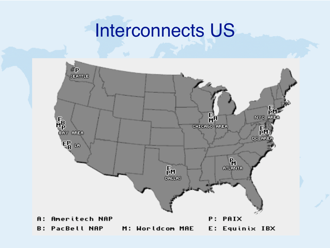#### Interconnects US

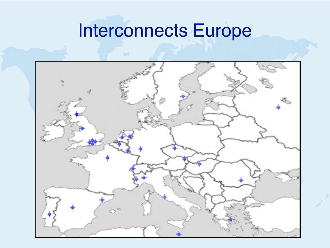#### Interconnects Europe

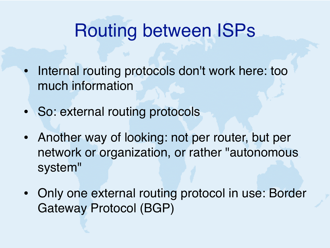#### Routing between ISPs

- Internal routing protocols don't work here: too much information
- So: external routing protocols
- Another way of looking: not per router, but per network or organization, or rather "autonomous system"
- Only one external routing protocol in use: Border Gateway Protocol (BGP)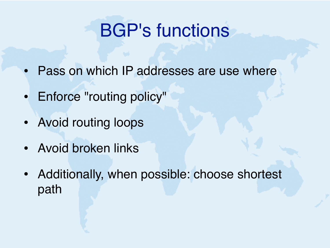## BGP's functions

- Pass on which IP addresses are use where
- Enforce "routing policy"
- Avoid routing loops
- Avoid broken links
- Additionally, when possible: choose shortest path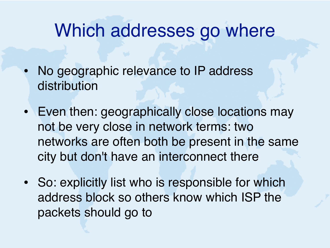#### Which addresses go where

- No geographic relevance to IP address distribution
- Even then: geographically close locations may not be very close in network terms: two networks are often both be present in the same city but don't have an interconnect there
- So: explicitly list who is responsible for which address block so others know which ISP the packets should go to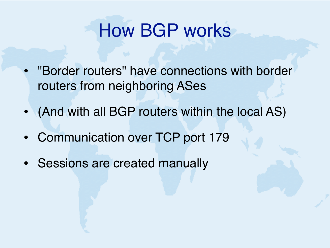#### How BGP works

- "Border routers" have connections with border routers from neighboring ASes
- (And with all BGP routers within the local AS)
- Communication over TCP port 179
- Sessions are created manually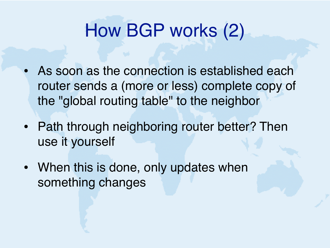## How BGP works (2)

- As soon as the connection is established each router sends a (more or less) complete copy of the "global routing table" to the neighbor
- Path through neighboring router better? Then use it yourself
- When this is done, only updates when something changes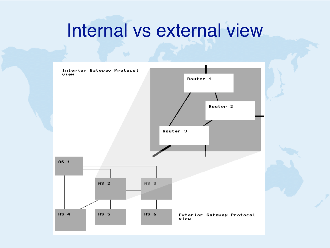#### Internal vs external view

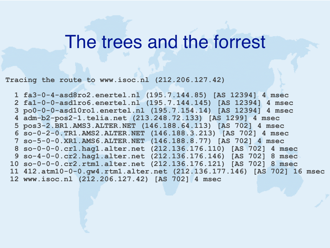#### The trees and the forrest

**Tracing the route to www.isoc.nl (212.206.127.42)**

 **1 fa3-0-4-asd8ro2.enertel.nl (195.7.144.85) [AS 12394] 4 msec 2 fa1-0-0-asd1ro6.enertel.nl (195.7.144.145) [AS 12394] 4 msec 3 po0-0-0-asd10ro1.enertel.nl (195.7.154.14) [AS 12394] 4 msec 4 adm-b2-pos2-1.telia.net (213.248.72.133) [AS 1299] 4 msec 5 pos3-2.BR1.AMS3.ALTER.NET (146.188.64.113) [AS 702] 4 msec 6 so-0-2-0.TR1.AMS2.ALTER.NET (146.188.3.213) [AS 702] 4 msec 7 so-5-0-0.XR1.AMS6.ALTER.NET (146.188.8.77) [AS 702] 4 msec 8 so-0-0-0.cr1.hag1.alter.net (212.136.176.110) [AS 702] 4 msec 9 so-4-0-0.cr2.hag1.alter.net (212.136.176.146) [AS 702] 8 msec 10 so-0-0-0.cr2.rtm1.alter.net (212.136.176.121) [AS 702] 8 msec 11 412.atm10-0-0.gw4.rtm1.alter.net (212.136.177.146) [AS 702] 16 msec 12 www.isoc.nl (212.206.127.42) [AS 702] 4 msec**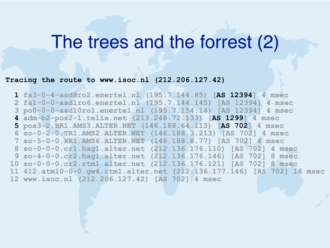#### The trees and the forrest (2)

#### **Tracing the route to www.isoc.nl (212.206.127.42)**

 **1 fa3-0-4-asd8ro2.enertel.nl (195.7.144.85) [AS 12394] 4 msec 2 fa1-0-0-asd1ro6.enertel.nl (195.7.144.145) [AS 12394] 4 msec 3 po0-0-0-asd10ro1.enertel.nl (195.7.154.14) [AS 12394] 4 msec 4 adm-b2-pos2-1.telia.net (213.248.72.133) [AS 1299] 4 msec 5 pos3-2.BR1.AMS3.ALTER.NET (146.188.64.113) [AS 702] 4 msec 6 so-0-2-0.TR1.AMS2.ALTER.NET (146.188.3.213) [AS 702] 4 msec 7 so-5-0-0.XR1.AMS6.ALTER.NET (146.188.8.77) [AS 702] 4 msec 8 so-0-0-0.cr1.hag1.alter.net (212.136.176.110) [AS 702] 4 msec 9 so-4-0-0.cr2.hag1.alter.net (212.136.176.146) [AS 702] 8 msec 10 so-0-0-0.cr2.rtm1.alter.net (212.136.176.121) [AS 702] 8 msec 11 412.atm10-0-0.gw4.rtm1.alter.net (212.136.177.146) [AS 702] 16 msec 12 www.isoc.nl (212.206.127.42) [AS 702] 4 msec**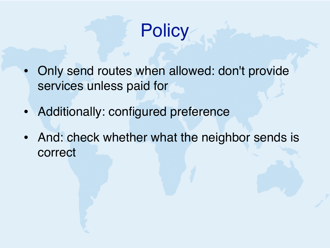

- Only send routes when allowed: don't provide services unless paid for
- Additionally: configured preference
- And: check whether what the neighbor sends is correct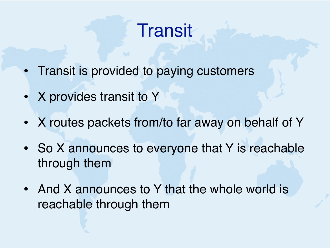#### **Transit**

- Transit is provided to paying customers
- X provides transit to Y
- X routes packets from/to far away on behalf of Y
- So X announces to everyone that Y is reachable through them
- And X announces to Y that the whole world is reachable through them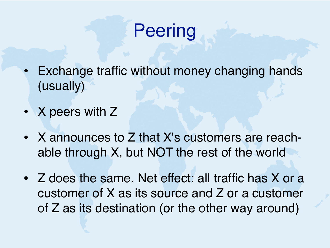## **Peering**

- **Exchange traffic without money changing hands** (usually)
- X peers with Z
- X announces to Z that X's customers are reachable through X, but NOT the rest of the world
- Z does the same. Net effect: all traffic has X or a customer of X as its source and Z or a customer of Z as its destination (or the other way around)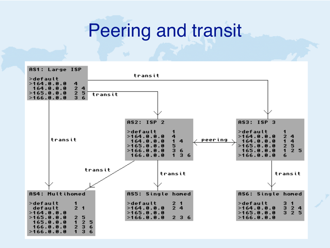#### Peering and transit

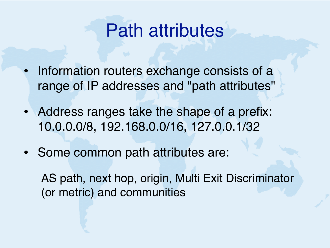#### Path attributes

- Information routers exchange consists of a range of IP addresses and "path attributes"
- Address ranges take the shape of a prefix: 10.0.0.0/8, 192.168.0.0/16, 127.0.0.1/32
- Some common path attributes are:

AS path, next hop, origin, Multi Exit Discriminator (or metric) and communities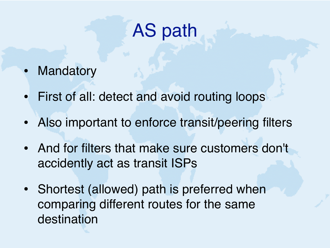# AS path

- **Mandatory**
- First of all: detect and avoid routing loops
- Also important to enforce transit/peering filters
- And for filters that make sure customers don't accidently act as transit ISPs
- Shortest (allowed) path is preferred when comparing different routes for the same destination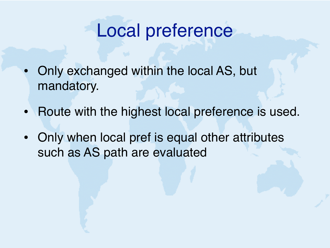#### Local preference

- Only exchanged within the local AS, but mandatory.
- Route with the highest local preference is used.
- Only when local pref is equal other attributes such as AS path are evaluated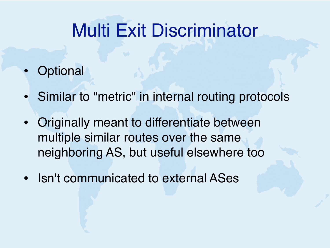### Multi Exit Discriminator

- **Optional**
- Similar to "metric" in internal routing protocols
- Originally meant to differentiate between multiple similar routes over the same neighboring AS, but useful elsewhere too
- Isn't communicated to external ASes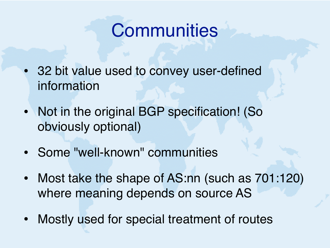#### **Communities**

- 32 bit value used to convey user-defined information
- Not in the original BGP specification! (So obviously optional)
- Some "well-known" communities
- Most take the shape of AS:nn (such as 701:120) where meaning depends on source AS
- Mostly used for special treatment of routes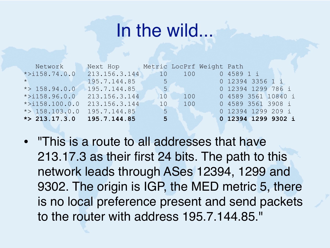#### In the wild...

| Network                                      | Next Hop        | Metric LocPrf Weight Path |                                            |                     |  |
|----------------------------------------------|-----------------|---------------------------|--------------------------------------------|---------------------|--|
| $* > i 158.74.0.0$                           | 213.156.3.144   |                           | $10$ $100$                                 | 0 4589 1 i          |  |
| $\star$ . The contribution of $\mathbf{v}_1$ | 195.7.144.85    |                           | <u> 1995 - Jan Jawa Barat, pamang pang</u> | 0 12394 3356 1 i    |  |
| $\star$ > 158.94.0.0                         | $-195.7.144.85$ | 51                        |                                            | 0 12394 1299 786 i  |  |
| $* > i158.96.0.0$                            | 213.156.3.144   | 10                        | 100                                        | 0 4589 3561 10840 i |  |
| $* > i158.100.0.0$                           | 213.156.3.144   | 10                        | 100                                        | 0 4589 3561 3908 i  |  |
| $\star$ > 158.103.0.0                        | 195.7.144.85    | $-51$                     |                                            | 0 12394 1299 209 i  |  |
| $\star$ 213.17.3.0                           | 195.7.144.85    | 5 <sup>5</sup>            |                                            | 0 12394 1299 9302 i |  |

• "This is a route to all addresses that have 213.17.3 as their first 24 bits. The path to this network leads through ASes 12394, 1299 and 9302. The origin is IGP, the MED metric 5, there is no local preference present and send packets to the router with address 195.7.144.85."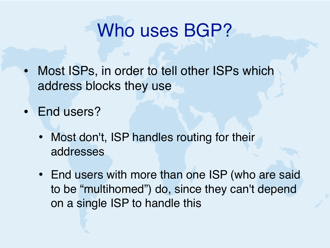#### Who uses BGP?

- Most ISPs, in order to tell other ISPs which address blocks they use
- End users?
	- Most don't, ISP handles routing for their addresses
	- End users with more than one ISP (who are said to be "multihomed") do, since they can't depend on a single ISP to handle this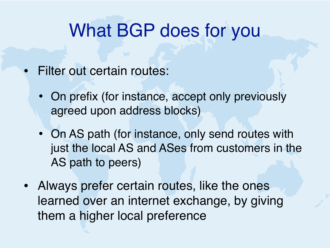#### What BGP does for you

- Filter out certain routes:
	- On prefix (for instance, accept only previously agreed upon address blocks)
	- On AS path (for instance, only send routes with just the local AS and ASes from customers in the AS path to peers)
- Always prefer certain routes, like the ones learned over an internet exchange, by giving them a higher local preference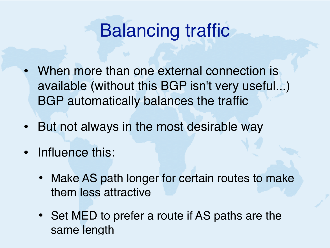#### Balancing traffic

- When more than one external connection is available (without this BGP isn't very useful...) BGP automatically balances the traffic
- But not always in the most desirable way
- Influence this:
	- Make AS path longer for certain routes to make them less attractive
	- Set MED to prefer a route if AS paths are the same length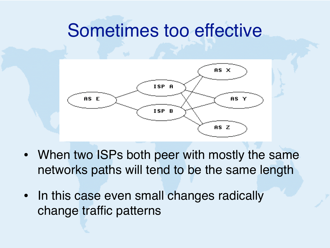#### Sometimes too effective



- When two ISPs both peer with mostly the same networks paths will tend to be the same length
- In this case even small changes radically change traffic patterns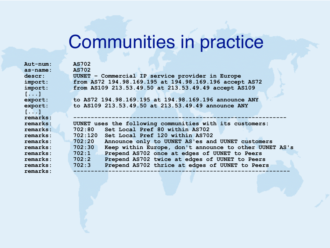# Communities in practice

| Aut-num:                | <b>AS702</b>                                                     |
|-------------------------|------------------------------------------------------------------|
| as-name:                | <b>AS702</b>                                                     |
| descr:                  | UUNET - Commercial IP service provider in Europe                 |
| import:                 | from AS72 194.98.169.195 at 194.98.169.196 accept AS72           |
| import:                 | from AS109 213.53.49.50 at 213.53.49.49 accept AS109             |
| $[$ $]$                 |                                                                  |
| export:                 | to AS72 194.98.169.195 at 194.98.169.196 announce ANY            |
| export:                 | to AS109 213.53.49.50 at 213.53.49.49 announce ANY               |
| $[ \cdot \cdot \cdot ]$ |                                                                  |
| remarks:                |                                                                  |
|                         |                                                                  |
| remarks:                | UUNET uses the following communities with its customers:         |
| remarks:                | 702:80<br>Set Local Pref 80 within AS702                         |
| remarks:                | 702:120<br>Set Local Pref 120 within AS702                       |
| remarks:                | 702:20<br>Announce only to UUNET AS'es and UUNET customers       |
| remarks:                | 702:30<br>Keep within Europe, don't announce to other UUNET AS's |
| remarks:                | Prepend AS702 once at edges of UUNET to Peers<br>702:1           |
| remarks:                | Prepend AS702 twice at edges of UUNET to Peers<br>702:2          |
| remarks:                | 702:3<br>Prepend AS702 thrice at edges of UUNET to Peers         |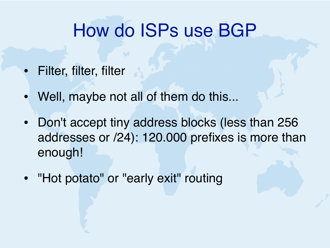#### How do ISPs use BGP

- Filter, filter, filter
- Well, maybe not all of them do this...
- Don't accept tiny address blocks (less than 256 addresses or /24): 120.000 prefixes is more than enough!
- "Hot potato" or "early exit" routing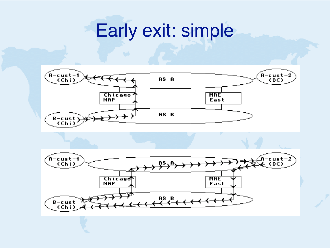#### Early exit: simple



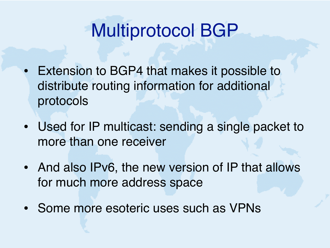#### Multiprotocol BGP

- Extension to BGP4 that makes it possible to distribute routing information for additional protocols
- Used for IP multicast: sending a single packet to more than one receiver
- And also IPv6, the new version of IP that allows for much more address space
- Some more esoteric uses such as VPNs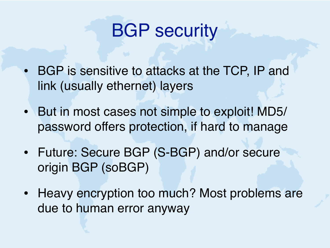#### BGP security

- BGP is sensitive to attacks at the TCP, IP and link (usually ethernet) layers
- But in most cases not simple to exploit! MD5/ password offers protection, if hard to manage
- Future: Secure BGP (S-BGP) and/or secure origin BGP (soBGP)
- Heavy encryption too much? Most problems are due to human error anyway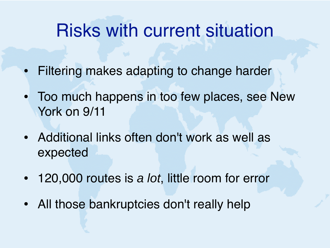#### Risks with current situation

- Filtering makes adapting to change harder
- Too much happens in too few places, see New York on 9/11
- Additional links often don't work as well as expected
- 120,000 routes is *a lot*, little room for error
- All those bankruptcies don't really help